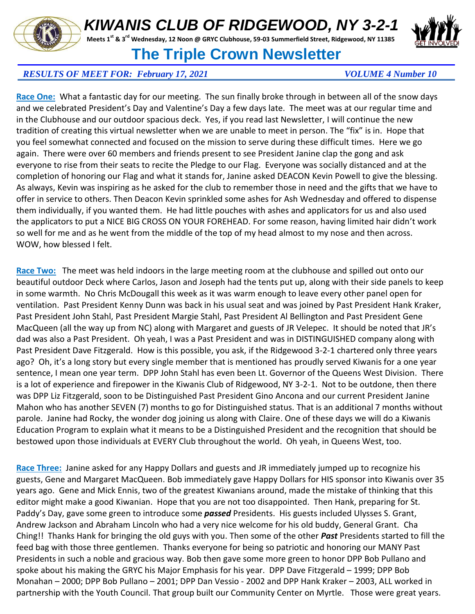## *KIWANIS CLUB OF RIDGEWOOD, NY 3-2-1*

**Meets 1st & 3rd Wednesday, 12 Noon @ GRYC Clubhouse, 59-03 Summerfield Street, Ridgewood, NY 11385**



## **The Triple Crown Newsletter**

## *RESULTS OF MEET FOR: February 17, 2021 VOLUME 4 Number 10*

**Race One:** What a fantastic day for our meeting. The sun finally broke through in between all of the snow days and we celebrated President's Day and Valentine's Day a few days late. The meet was at our regular time and in the Clubhouse and our outdoor spacious deck. Yes, if you read last Newsletter, I will continue the new tradition of creating this virtual newsletter when we are unable to meet in person. The "fix" is in. Hope that you feel somewhat connected and focused on the mission to serve during these difficult times. Here we go again. There were over 60 members and friends present to see President Janine clap the gong and ask everyone to rise from their seats to recite the Pledge to our Flag. Everyone was socially distanced and at the completion of honoring our Flag and what it stands for, Janine asked DEACON Kevin Powell to give the blessing. As always, Kevin was inspiring as he asked for the club to remember those in need and the gifts that we have to offer in service to others. Then Deacon Kevin sprinkled some ashes for Ash Wednesday and offered to dispense them individually, if you wanted them. He had little pouches with ashes and applicators for us and also used the applicators to put a NICE BIG CROSS ON YOUR FOREHEAD. For some reason, having limited hair didn't work so well for me and as he went from the middle of the top of my head almost to my nose and then across. WOW, how blessed I felt.

**Race Two:** The meet was held indoors in the large meeting room at the clubhouse and spilled out onto our beautiful outdoor Deck where Carlos, Jason and Joseph had the tents put up, along with their side panels to keep in some warmth. No Chris McDougall this week as it was warm enough to leave every other panel open for ventilation. Past President Kenny Dunn was back in his usual seat and was joined by Past President Hank Kraker, Past President John Stahl, Past President Margie Stahl, Past President Al Bellington and Past President Gene MacQueen (all the way up from NC) along with Margaret and guests of JR Velepec. It should be noted that JR's dad was also a Past President. Oh yeah, I was a Past President and was in DISTINGUISHED company along with Past President Dave Fitzgerald. How is this possible, you ask, if the Ridgewood 3-2-1 chartered only three years ago? Oh, it's a long story but every single member that is mentioned has proudly served Kiwanis for a one year sentence, I mean one year term. DPP John Stahl has even been Lt. Governor of the Queens West Division. There is a lot of experience and firepower in the Kiwanis Club of Ridgewood, NY 3-2-1. Not to be outdone, then there was DPP Liz Fitzgerald, soon to be Distinguished Past President Gino Ancona and our current President Janine Mahon who has another SEVEN (7) months to go for Distinguished status. That is an additional 7 months without parole. Janine had Rocky, the wonder dog joining us along with Claire. One of these days we will do a Kiwanis Education Program to explain what it means to be a Distinguished President and the recognition that should be bestowed upon those individuals at EVERY Club throughout the world. Oh yeah, in Queens West, too.

**Race Three:** Janine asked for any Happy Dollars and guests and JR immediately jumped up to recognize his guests, Gene and Margaret MacQueen. Bob immediately gave Happy Dollars for HIS sponsor into Kiwanis over 35 years ago. Gene and Mick Ennis, two of the greatest Kiwanians around, made the mistake of thinking that this editor might make a good Kiwanian. Hope that you are not too disappointed. Then Hank, preparing for St. Paddy's Day, gave some green to introduce some *passed* Presidents. His guests included Ulysses S. Grant, Andrew Jackson and Abraham Lincoln who had a very nice welcome for his old buddy, General Grant. Cha Ching!! Thanks Hank for bringing the old guys with you. Then some of the other *Past* Presidents started to fill the feed bag with those three gentlemen. Thanks everyone for being so patriotic and honoring our MANY Past Presidents in such a noble and gracious way. Bob then gave some more green to honor DPP Bob Pullano and spoke about his making the GRYC his Major Emphasis for his year. DPP Dave Fitzgerald – 1999; DPP Bob Monahan – 2000; DPP Bob Pullano – 2001; DPP Dan Vessio - 2002 and DPP Hank Kraker – 2003, ALL worked in partnership with the Youth Council. That group built our Community Center on Myrtle. Those were great years.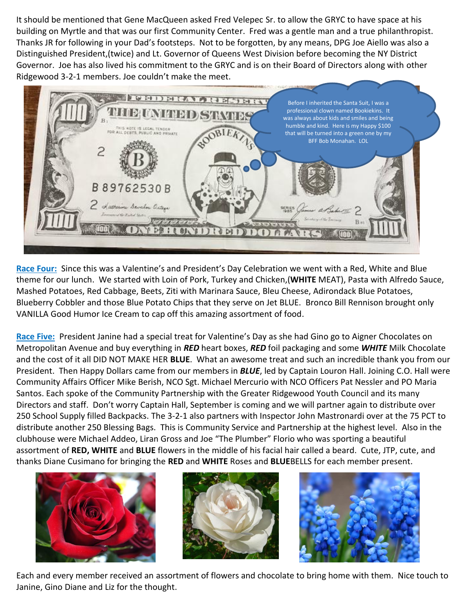It should be mentioned that Gene MacQueen asked Fred Velepec Sr. to allow the GRYC to have space at his building on Myrtle and that was our first Community Center. Fred was a gentle man and a true philanthropist. Thanks JR for following in your Dad's footsteps. Not to be forgotten, by any means, DPG Joe Aiello was also a Distinguished President,(twice) and Lt. Governor of Queens West Division before becoming the NY District Governor. Joe has also lived his commitment to the GRYC and is on their Board of Directors along with other Ridgewood 3-2-1 members. Joe couldn't make the meet.



**Race Four:** Since this was a Valentine's and President's Day Celebration we went with a Red, White and Blue theme for our lunch. We started with Loin of Pork, Turkey and Chicken,(**WHITE** MEAT), Pasta with Alfredo Sauce, Mashed Potatoes, Red Cabbage, Beets, Ziti with Marinara Sauce, Bleu Cheese, Adirondack Blue Potatoes, Blueberry Cobbler and those Blue Potato Chips that they serve on Jet BLUE. Bronco Bill Rennison brought only VANILLA Good Humor Ice Cream to cap off this amazing assortment of food.

**Race Five:** President Janine had a special treat for Valentine's Day as she had Gino go to Aigner Chocolates on Metropolitan Avenue and buy everything in *RED* heart boxes, *RED* foil packaging and some *WHITE* Milk Chocolate and the cost of it all DID NOT MAKE HER **BLUE**. What an awesome treat and such an incredible thank you from our President. Then Happy Dollars came from our members in *BLUE*, led by Captain Louron Hall. Joining C.O. Hall were Community Affairs Officer Mike Berish, NCO Sgt. Michael Mercurio with NCO Officers Pat Nessler and PO Maria Santos. Each spoke of the Community Partnership with the Greater Ridgewood Youth Council and its many Directors and staff. Don't worry Captain Hall, September is coming and we will partner again to distribute over 250 School Supply filled Backpacks. The 3-2-1 also partners with Inspector John Mastronardi over at the 75 PCT to distribute another 250 Blessing Bags. This is Community Service and Partnership at the highest level. Also in the clubhouse were Michael Addeo, Liran Gross and Joe "The Plumber" Florio who was sporting a beautiful assortment of **RED, WHITE** and **BLUE** flowers in the middle of his facial hair called a beard. Cute, JTP, cute, and thanks Diane Cusimano for bringing the **RED** and **WHITE** Roses and **BLUE**BELLS for each member present.







Each and every member received an assortment of flowers and chocolate to bring home with them. Nice touch to Janine, Gino Diane and Liz for the thought.